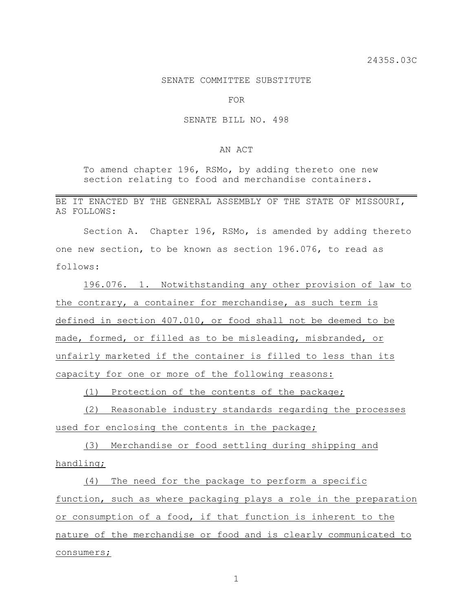## SENATE COMMITTEE SUBSTITUTE

FOR

## SENATE BILL NO. 498

## AN ACT

To amend chapter 196, RSMo, by adding thereto one new section relating to food and merchandise containers.

BE IT ENACTED BY THE GENERAL ASSEMBLY OF THE STATE OF MISSOURI, AS FOLLOWS:

Section A. Chapter 196, RSMo, is amended by adding thereto one new section, to be known as section 196.076, to read as follows:

196.076. 1. Notwithstanding any other provision of law to the contrary, a container for merchandise, as such term is defined in section 407.010, or food shall not be deemed to be made, formed, or filled as to be misleading, misbranded, or unfairly marketed if the container is filled to less than its capacity for one or more of the following reasons:

(1) Protection of the contents of the package;

(2) Reasonable industry standards regarding the processes used for enclosing the contents in the package;

(3) Merchandise or food settling during shipping and handling;

(4) The need for the package to perform a specific function, such as where packaging plays a role in the preparation or consumption of a food, if that function is inherent to the nature of the merchandise or food and is clearly communicated to consumers;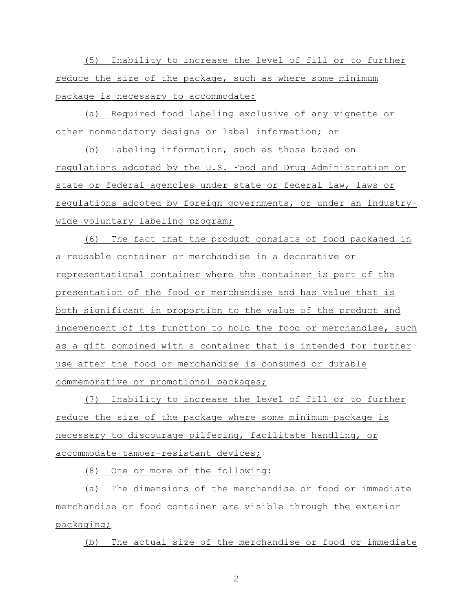(5) Inability to increase the level of fill or to further reduce the size of the package, such as where some minimum package is necessary to accommodate:

(a) Required food labeling exclusive of any vignette or other nonmandatory designs or label information; or

(b) Labeling information, such as those based on regulations adopted by the U.S. Food and Drug Administration or state or federal agencies under state or federal law, laws or regulations adopted by foreign governments, or under an industrywide voluntary labeling program;

(6) The fact that the product consists of food packaged in a reusable container or merchandise in a decorative or representational container where the container is part of the presentation of the food or merchandise and has value that is both significant in proportion to the value of the product and independent of its function to hold the food or merchandise, such as a gift combined with a container that is intended for further use after the food or merchandise is consumed or durable commemorative or promotional packages;

(7) Inability to increase the level of fill or to further reduce the size of the package where some minimum package is necessary to discourage pilfering, facilitate handling, or accommodate tamper-resistant devices;

(8) One or more of the following:

(a) The dimensions of the merchandise or food or immediate merchandise or food container are visible through the exterior packaging;

(b) The actual size of the merchandise or food or immediate

2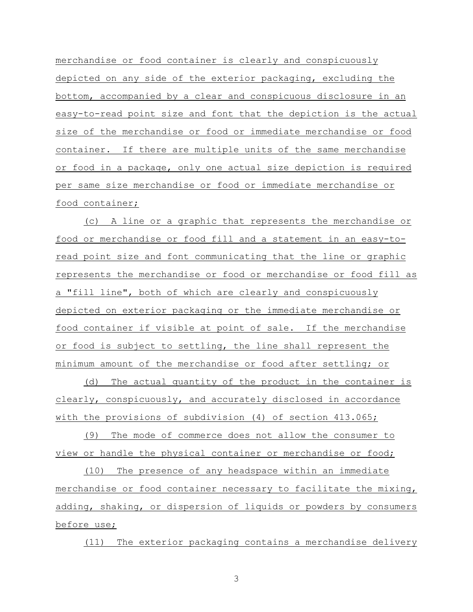merchandise or food container is clearly and conspicuously depicted on any side of the exterior packaging, excluding the bottom, accompanied by a clear and conspicuous disclosure in an easy-to-read point size and font that the depiction is the actual size of the merchandise or food or immediate merchandise or food container. If there are multiple units of the same merchandise or food in a package, only one actual size depiction is required per same size merchandise or food or immediate merchandise or food container;

(c) A line or a graphic that represents the merchandise or food or merchandise or food fill and a statement in an easy-toread point size and font communicating that the line or graphic represents the merchandise or food or merchandise or food fill as a "fill line", both of which are clearly and conspicuously depicted on exterior packaging or the immediate merchandise or food container if visible at point of sale. If the merchandise or food is subject to settling, the line shall represent the minimum amount of the merchandise or food after settling; or

(d) The actual quantity of the product in the container is clearly, conspicuously, and accurately disclosed in accordance with the provisions of subdivision (4) of section 413.065;

(9) The mode of commerce does not allow the consumer to view or handle the physical container or merchandise or food;

(10) The presence of any headspace within an immediate merchandise or food container necessary to facilitate the mixing, adding, shaking, or dispersion of liquids or powders by consumers before use;

(11) The exterior packaging contains a merchandise delivery

3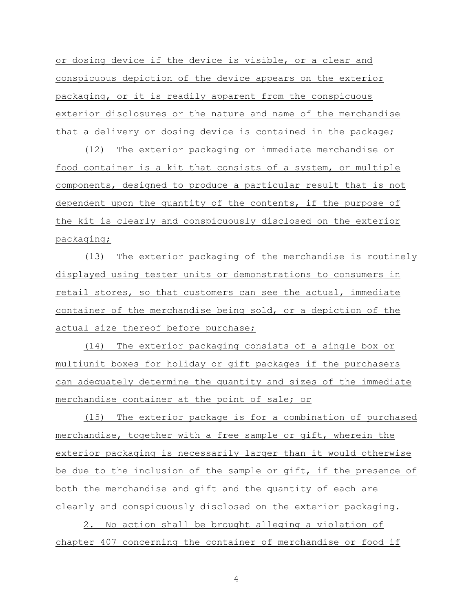or dosing device if the device is visible, or a clear and conspicuous depiction of the device appears on the exterior packaging, or it is readily apparent from the conspicuous exterior disclosures or the nature and name of the merchandise that a delivery or dosing device is contained in the package;

(12) The exterior packaging or immediate merchandise or food container is a kit that consists of a system, or multiple components, designed to produce a particular result that is not dependent upon the quantity of the contents, if the purpose of the kit is clearly and conspicuously disclosed on the exterior packaging;

(13) The exterior packaging of the merchandise is routinely displayed using tester units or demonstrations to consumers in retail stores, so that customers can see the actual, immediate container of the merchandise being sold, or a depiction of the actual size thereof before purchase;

(14) The exterior packaging consists of a single box or multiunit boxes for holiday or gift packages if the purchasers can adequately determine the quantity and sizes of the immediate merchandise container at the point of sale; or

(15) The exterior package is for a combination of purchased merchandise, together with a free sample or gift, wherein the exterior packaging is necessarily larger than it would otherwise be due to the inclusion of the sample or gift, if the presence of both the merchandise and gift and the quantity of each are clearly and conspicuously disclosed on the exterior packaging.

2. No action shall be brought alleging a violation of chapter 407 concerning the container of merchandise or food if

4